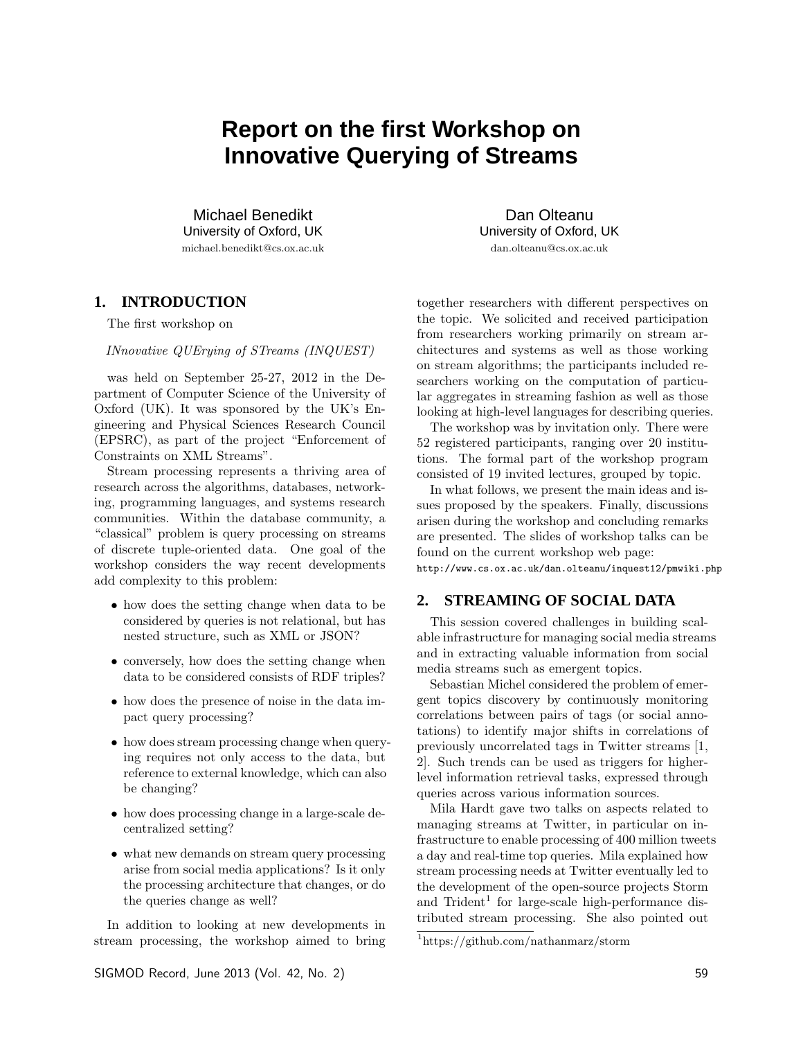# **Report on the first Workshop on Innovative Querying of Streams**

Michael Benedikt

University of Oxford, UK michael.benedikt@cs.ox.ac.uk

#### **1. INTRODUCTION**

The first workshop on

INnovative QUErying of STreams (INQUEST)

was held on September 25-27, 2012 in the Department of Computer Science of the University of Oxford (UK). It was sponsored by the UK's Engineering and Physical Sciences Research Council (EPSRC), as part of the project "Enforcement of Constraints on XML Streams".

Stream processing represents a thriving area of research across the algorithms, databases, networking, programming languages, and systems research communities. Within the database community, a "classical" problem is query processing on streams of discrete tuple-oriented data. One goal of the workshop considers the way recent developments add complexity to this problem:

- how does the setting change when data to be considered by queries is not relational, but has nested structure, such as XML or JSON?
- conversely, how does the setting change when data to be considered consists of RDF triples?
- how does the presence of noise in the data impact query processing?
- how does stream processing change when querying requires not only access to the data, but reference to external knowledge, which can also be changing?
- how does processing change in a large-scale decentralized setting?
- what new demands on stream query processing arise from social media applications? Is it only the processing architecture that changes, or do the queries change as well?

In addition to looking at new developments in stream processing, the workshop aimed to bring

Dan Olteanu University of Oxford, UK dan.olteanu@cs.ox.ac.uk

together researchers with different perspectives on the topic. We solicited and received participation from researchers working primarily on stream architectures and systems as well as those working on stream algorithms; the participants included researchers working on the computation of particular aggregates in streaming fashion as well as those looking at high-level languages for describing queries.

The workshop was by invitation only. There were 52 registered participants, ranging over 20 institutions. The formal part of the workshop program consisted of 19 invited lectures, grouped by topic.

In what follows, we present the main ideas and issues proposed by the speakers. Finally, discussions arisen during the workshop and concluding remarks are presented. The slides of workshop talks can be found on the current workshop web page: http://www.cs.ox.ac.uk/dan.olteanu/inquest12/pmwiki.php

# **2. STREAMING OF SOCIAL DATA**

This session covered challenges in building scalable infrastructure for managing social media streams and in extracting valuable information from social media streams such as emergent topics.

Sebastian Michel considered the problem of emergent topics discovery by continuously monitoring correlations between pairs of tags (or social annotations) to identify major shifts in correlations of previously uncorrelated tags in Twitter streams [1, 2]. Such trends can be used as triggers for higherlevel information retrieval tasks, expressed through queries across various information sources.

Mila Hardt gave two talks on aspects related to managing streams at Twitter, in particular on infrastructure to enable processing of 400 million tweets a day and real-time top queries. Mila explained how stream processing needs at Twitter eventually led to the development of the open-source projects Storm and Trident<sup>1</sup> for large-scale high-performance distributed stream processing. She also pointed out

<sup>1</sup>https://github.com/nathanmarz/storm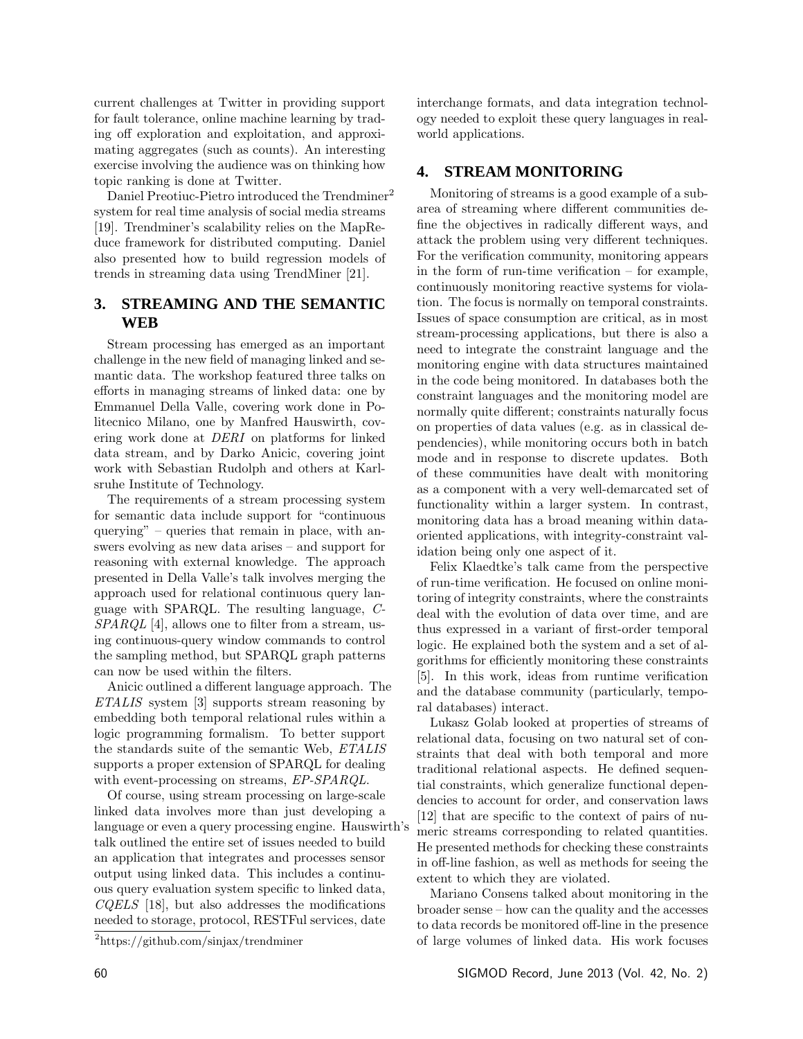current challenges at Twitter in providing support for fault tolerance, online machine learning by trading off exploration and exploitation, and approximating aggregates (such as counts). An interesting exercise involving the audience was on thinking how topic ranking is done at Twitter.

Daniel Preotiuc-Pietro introduced the Trendminer<sup>2</sup> system for real time analysis of social media streams [19]. Trendminer's scalability relies on the MapReduce framework for distributed computing. Daniel also presented how to build regression models of trends in streaming data using TrendMiner [21].

## **3. STREAMING AND THE SEMANTIC WEB**

Stream processing has emerged as an important challenge in the new field of managing linked and semantic data. The workshop featured three talks on efforts in managing streams of linked data: one by Emmanuel Della Valle, covering work done in Politecnico Milano, one by Manfred Hauswirth, covering work done at DERI on platforms for linked data stream, and by Darko Anicic, covering joint work with Sebastian Rudolph and others at Karlsruhe Institute of Technology.

The requirements of a stream processing system for semantic data include support for "continuous querying" – queries that remain in place, with answers evolving as new data arises – and support for reasoning with external knowledge. The approach presented in Della Valle's talk involves merging the approach used for relational continuous query language with SPARQL. The resulting language, C- $SPARQL$  [4], allows one to filter from a stream, using continuous-query window commands to control the sampling method, but SPARQL graph patterns can now be used within the filters.

Anicic outlined a different language approach. The ETALIS system [3] supports stream reasoning by embedding both temporal relational rules within a logic programming formalism. To better support the standards suite of the semantic Web, ETALIS supports a proper extension of SPARQL for dealing with event-processing on streams, EP-SPARQL.

Of course, using stream processing on large-scale linked data involves more than just developing a language or even a query processing engine. Hauswirth's talk outlined the entire set of issues needed to build an application that integrates and processes sensor output using linked data. This includes a continuous query evaluation system specific to linked data,  $CQELS$  [18], but also addresses the modifications needed to storage, protocol, RESTFul services, date

interchange formats, and data integration technology needed to exploit these query languages in realworld applications.

# **4. STREAM MONITORING**

Monitoring of streams is a good example of a subarea of streaming where different communities define the objectives in radically different ways, and attack the problem using very different techniques. For the verification community, monitoring appears in the form of run-time verification – for example, continuously monitoring reactive systems for violation. The focus is normally on temporal constraints. Issues of space consumption are critical, as in most stream-processing applications, but there is also a need to integrate the constraint language and the monitoring engine with data structures maintained in the code being monitored. In databases both the constraint languages and the monitoring model are normally quite different; constraints naturally focus on properties of data values (e.g. as in classical dependencies), while monitoring occurs both in batch mode and in response to discrete updates. Both of these communities have dealt with monitoring as a component with a very well-demarcated set of functionality within a larger system. In contrast, monitoring data has a broad meaning within dataoriented applications, with integrity-constraint validation being only one aspect of it.

Felix Klaedtke's talk came from the perspective of run-time verification. He focused on online monitoring of integrity constraints, where the constraints deal with the evolution of data over time, and are thus expressed in a variant of first-order temporal logic. He explained both the system and a set of algorithms for efficiently monitoring these constraints [5]. In this work, ideas from runtime verification and the database community (particularly, temporal databases) interact.

Lukasz Golab looked at properties of streams of relational data, focusing on two natural set of constraints that deal with both temporal and more traditional relational aspects. He defined sequential constraints, which generalize functional dependencies to account for order, and conservation laws [12] that are specific to the context of pairs of numeric streams corresponding to related quantities. He presented methods for checking these constraints in off-line fashion, as well as methods for seeing the extent to which they are violated.

Mariano Consens talked about monitoring in the broader sense – how can the quality and the accesses to data records be monitored off-line in the presence of large volumes of linked data. His work focuses

 $^{2}$ https://github.com/sinjax/trendminer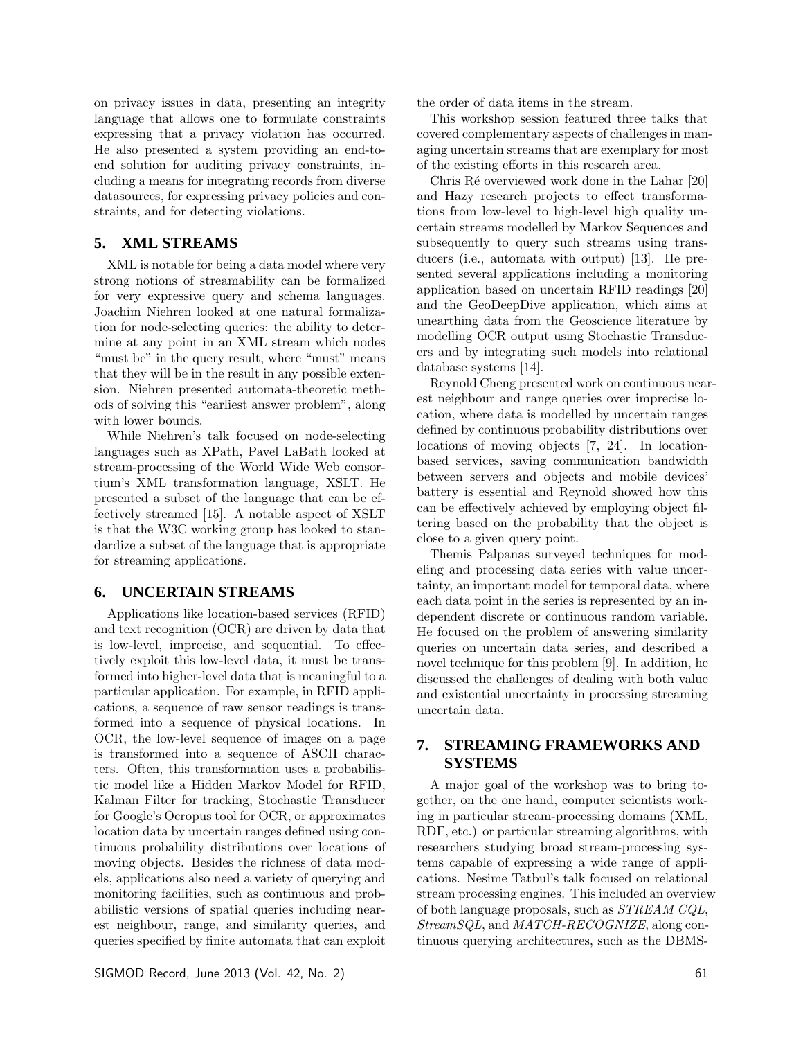on privacy issues in data, presenting an integrity language that allows one to formulate constraints expressing that a privacy violation has occurred. He also presented a system providing an end-toend solution for auditing privacy constraints, including a means for integrating records from diverse datasources, for expressing privacy policies and constraints, and for detecting violations.

#### **5. XML STREAMS**

XML is notable for being a data model where very strong notions of streamability can be formalized for very expressive query and schema languages. Joachim Niehren looked at one natural formalization for node-selecting queries: the ability to determine at any point in an XML stream which nodes "must be" in the query result, where "must" means that they will be in the result in any possible extension. Niehren presented automata-theoretic methods of solving this "earliest answer problem", along with lower bounds.

While Niehren's talk focused on node-selecting languages such as XPath, Pavel LaBath looked at stream-processing of the World Wide Web consortium's XML transformation language, XSLT. He presented a subset of the language that can be effectively streamed [15]. A notable aspect of XSLT is that the W3C working group has looked to standardize a subset of the language that is appropriate for streaming applications.

#### **6. UNCERTAIN STREAMS**

Applications like location-based services (RFID) and text recognition (OCR) are driven by data that is low-level, imprecise, and sequential. To effectively exploit this low-level data, it must be transformed into higher-level data that is meaningful to a particular application. For example, in RFID applications, a sequence of raw sensor readings is transformed into a sequence of physical locations. In OCR, the low-level sequence of images on a page is transformed into a sequence of ASCII characters. Often, this transformation uses a probabilistic model like a Hidden Markov Model for RFID, Kalman Filter for tracking, Stochastic Transducer for Google's Ocropus tool for OCR, or approximates location data by uncertain ranges defined using continuous probability distributions over locations of moving objects. Besides the richness of data models, applications also need a variety of querying and monitoring facilities, such as continuous and probabilistic versions of spatial queries including nearest neighbour, range, and similarity queries, and queries specified by finite automata that can exploit the order of data items in the stream.

This workshop session featured three talks that covered complementary aspects of challenges in managing uncertain streams that are exemplary for most of the existing efforts in this research area.

Chris Ré overviewed work done in the Lahar [20] and Hazy research projects to effect transformations from low-level to high-level high quality uncertain streams modelled by Markov Sequences and subsequently to query such streams using transducers (i.e., automata with output) [13]. He presented several applications including a monitoring application based on uncertain RFID readings [20] and the GeoDeepDive application, which aims at unearthing data from the Geoscience literature by modelling OCR output using Stochastic Transducers and by integrating such models into relational database systems [14].

Reynold Cheng presented work on continuous nearest neighbour and range queries over imprecise location, where data is modelled by uncertain ranges defined by continuous probability distributions over locations of moving objects [7, 24]. In locationbased services, saving communication bandwidth between servers and objects and mobile devices' battery is essential and Reynold showed how this can be effectively achieved by employing object filtering based on the probability that the object is close to a given query point.

Themis Palpanas surveyed techniques for modeling and processing data series with value uncertainty, an important model for temporal data, where each data point in the series is represented by an independent discrete or continuous random variable. He focused on the problem of answering similarity queries on uncertain data series, and described a novel technique for this problem [9]. In addition, he discussed the challenges of dealing with both value and existential uncertainty in processing streaming uncertain data.

## **7. STREAMING FRAMEWORKS AND SYSTEMS**

A major goal of the workshop was to bring together, on the one hand, computer scientists working in particular stream-processing domains (XML, RDF, etc.) or particular streaming algorithms, with researchers studying broad stream-processing systems capable of expressing a wide range of applications. Nesime Tatbul's talk focused on relational stream processing engines. This included an overview of both language proposals, such as STREAM CQL, StreamSQL, and MATCH-RECOGNIZE, along continuous querying architectures, such as the DBMS-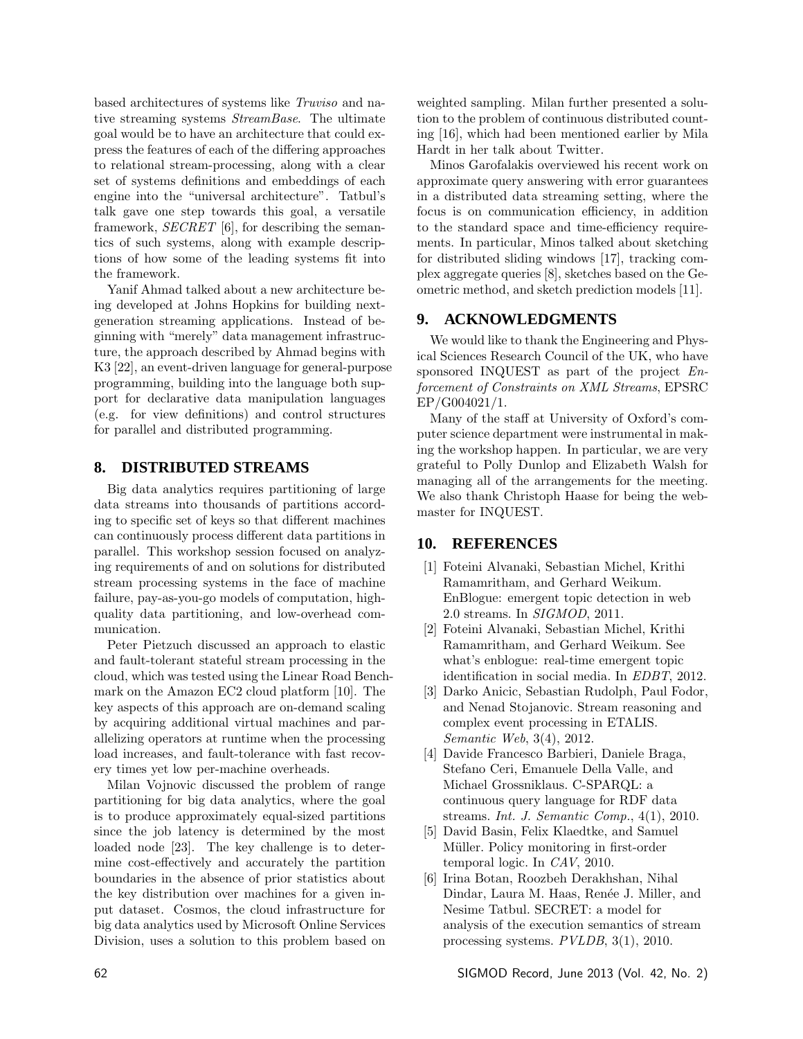based architectures of systems like Truviso and native streaming systems StreamBase. The ultimate goal would be to have an architecture that could express the features of each of the differing approaches to relational stream-processing, along with a clear set of systems definitions and embeddings of each engine into the "universal architecture". Tatbul's talk gave one step towards this goal, a versatile framework, SECRET [6], for describing the semantics of such systems, along with example descriptions of how some of the leading systems fit into the framework.

Yanif Ahmad talked about a new architecture being developed at Johns Hopkins for building nextgeneration streaming applications. Instead of beginning with "merely" data management infrastructure, the approach described by Ahmad begins with K3 [22], an event-driven language for general-purpose programming, building into the language both support for declarative data manipulation languages (e.g. for view definitions) and control structures for parallel and distributed programming.

### **8. DISTRIBUTED STREAMS**

Big data analytics requires partitioning of large data streams into thousands of partitions according to specific set of keys so that different machines can continuously process different data partitions in parallel. This workshop session focused on analyzing requirements of and on solutions for distributed stream processing systems in the face of machine failure, pay-as-you-go models of computation, highquality data partitioning, and low-overhead communication.

Peter Pietzuch discussed an approach to elastic and fault-tolerant stateful stream processing in the cloud, which was tested using the Linear Road Benchmark on the Amazon EC2 cloud platform [10]. The key aspects of this approach are on-demand scaling by acquiring additional virtual machines and parallelizing operators at runtime when the processing load increases, and fault-tolerance with fast recovery times yet low per-machine overheads.

Milan Vojnovic discussed the problem of range partitioning for big data analytics, where the goal is to produce approximately equal-sized partitions since the job latency is determined by the most loaded node [23]. The key challenge is to determine cost-effectively and accurately the partition boundaries in the absence of prior statistics about the key distribution over machines for a given input dataset. Cosmos, the cloud infrastructure for big data analytics used by Microsoft Online Services Division, uses a solution to this problem based on

weighted sampling. Milan further presented a solution to the problem of continuous distributed counting [16], which had been mentioned earlier by Mila Hardt in her talk about Twitter.

Minos Garofalakis overviewed his recent work on approximate query answering with error guarantees in a distributed data streaming setting, where the focus is on communication efficiency, in addition to the standard space and time-efficiency requirements. In particular, Minos talked about sketching for distributed sliding windows [17], tracking complex aggregate queries [8], sketches based on the Geometric method, and sketch prediction models [11].

#### **9. ACKNOWLEDGMENTS**

We would like to thank the Engineering and Physical Sciences Research Council of the UK, who have sponsored INQUEST as part of the project Enforcement of Constraints on XML Streams, EPSRC EP/G004021/1.

Many of the staff at University of Oxford's computer science department were instrumental in making the workshop happen. In particular, we are very grateful to Polly Dunlop and Elizabeth Walsh for managing all of the arrangements for the meeting. We also thank Christoph Haase for being the webmaster for INQUEST.

#### **10. REFERENCES**

- [1] Foteini Alvanaki, Sebastian Michel, Krithi Ramamritham, and Gerhard Weikum. EnBlogue: emergent topic detection in web 2.0 streams. In SIGMOD, 2011.
- [2] Foteini Alvanaki, Sebastian Michel, Krithi Ramamritham, and Gerhard Weikum. See what's enblogue: real-time emergent topic identification in social media. In EDBT, 2012.
- [3] Darko Anicic, Sebastian Rudolph, Paul Fodor, and Nenad Stojanovic. Stream reasoning and complex event processing in ETALIS. Semantic Web, 3(4), 2012.
- [4] Davide Francesco Barbieri, Daniele Braga, Stefano Ceri, Emanuele Della Valle, and Michael Grossniklaus. C-SPARQL: a continuous query language for RDF data streams. Int. J. Semantic Comp., 4(1), 2010.
- [5] David Basin, Felix Klaedtke, and Samuel Müller. Policy monitoring in first-order temporal logic. In CAV, 2010.
- [6] Irina Botan, Roozbeh Derakhshan, Nihal Dindar, Laura M. Haas, Renée J. Miller, and Nesime Tatbul. SECRET: a model for analysis of the execution semantics of stream processing systems. PVLDB, 3(1), 2010.